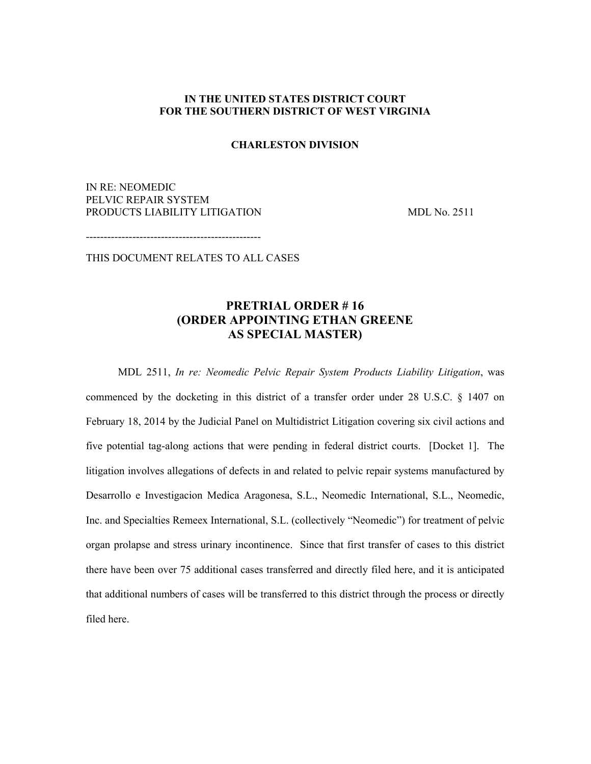## **IN THE UNITED STATES DISTRICT COURT FOR THE SOUTHERN DISTRICT OF WEST VIRGINIA**

## **CHARLESTON DIVISION**

IN RE: NEOMEDIC PELVIC REPAIR SYSTEM PRODUCTS LIABILITY LITIGATION MDL No. 2511

-------------------------------------------------

THIS DOCUMENT RELATES TO ALL CASES

## **PRETRIAL ORDER # 16 (ORDER APPOINTING ETHAN GREENE AS SPECIAL MASTER)**

MDL 2511, *In re: Neomedic Pelvic Repair System Products Liability Litigation*, was

commenced by the docketing in this district of a transfer order under 28 U.S.C. § 1407 on February 18, 2014 by the Judicial Panel on Multidistrict Litigation covering six civil actions and five potential tag-along actions that were pending in federal district courts. [Docket 1]. The litigation involves allegations of defects in and related to pelvic repair systems manufactured by Desarrollo e Investigacion Medica Aragonesa, S.L., Neomedic International, S.L., Neomedic, Inc. and Specialties Remeex International, S.L. (collectively "Neomedic") for treatment of pelvic organ prolapse and stress urinary incontinence. Since that first transfer of cases to this district there have been over 75 additional cases transferred and directly filed here, and it is anticipated that additional numbers of cases will be transferred to this district through the process or directly filed here.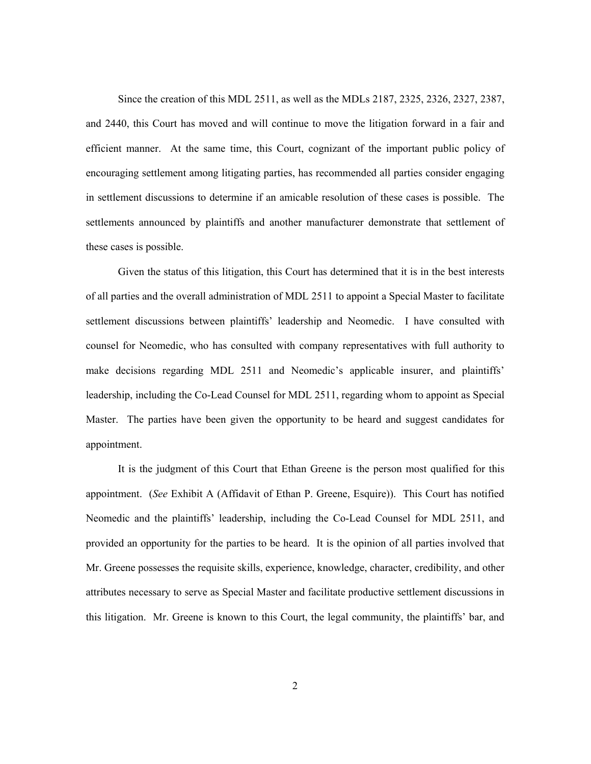Since the creation of this MDL 2511, as well as the MDLs 2187, 2325, 2326, 2327, 2387, and 2440, this Court has moved and will continue to move the litigation forward in a fair and efficient manner. At the same time, this Court, cognizant of the important public policy of encouraging settlement among litigating parties, has recommended all parties consider engaging in settlement discussions to determine if an amicable resolution of these cases is possible. The settlements announced by plaintiffs and another manufacturer demonstrate that settlement of these cases is possible.

Given the status of this litigation, this Court has determined that it is in the best interests of all parties and the overall administration of MDL 2511 to appoint a Special Master to facilitate settlement discussions between plaintiffs' leadership and Neomedic. I have consulted with counsel for Neomedic, who has consulted with company representatives with full authority to make decisions regarding MDL 2511 and Neomedic's applicable insurer, and plaintiffs' leadership, including the Co-Lead Counsel for MDL 2511, regarding whom to appoint as Special Master. The parties have been given the opportunity to be heard and suggest candidates for appointment.

It is the judgment of this Court that Ethan Greene is the person most qualified for this appointment. (*See* Exhibit A (Affidavit of Ethan P. Greene, Esquire)). This Court has notified Neomedic and the plaintiffs' leadership, including the Co-Lead Counsel for MDL 2511, and provided an opportunity for the parties to be heard. It is the opinion of all parties involved that Mr. Greene possesses the requisite skills, experience, knowledge, character, credibility, and other attributes necessary to serve as Special Master and facilitate productive settlement discussions in this litigation. Mr. Greene is known to this Court, the legal community, the plaintiffs' bar, and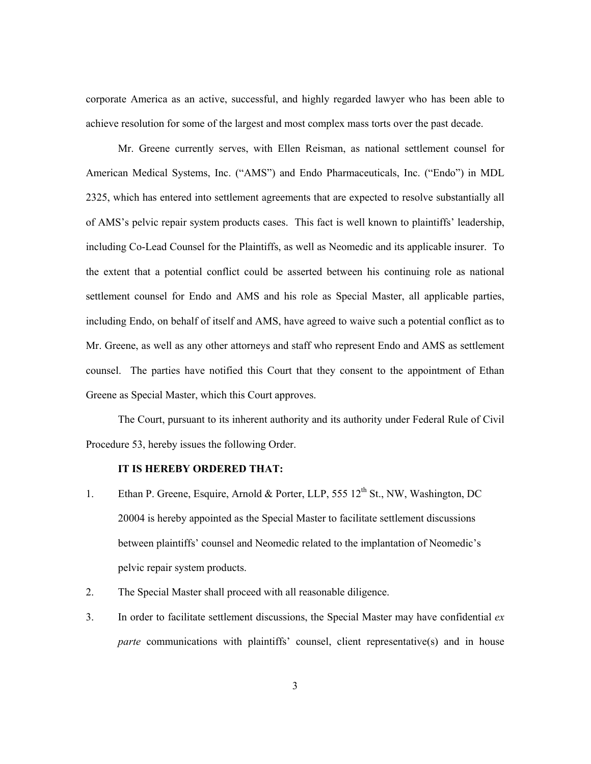corporate America as an active, successful, and highly regarded lawyer who has been able to achieve resolution for some of the largest and most complex mass torts over the past decade.

Mr. Greene currently serves, with Ellen Reisman, as national settlement counsel for American Medical Systems, Inc. ("AMS") and Endo Pharmaceuticals, Inc. ("Endo") in MDL 2325, which has entered into settlement agreements that are expected to resolve substantially all of AMS's pelvic repair system products cases. This fact is well known to plaintiffs' leadership, including Co-Lead Counsel for the Plaintiffs, as well as Neomedic and its applicable insurer. To the extent that a potential conflict could be asserted between his continuing role as national settlement counsel for Endo and AMS and his role as Special Master, all applicable parties, including Endo, on behalf of itself and AMS, have agreed to waive such a potential conflict as to Mr. Greene, as well as any other attorneys and staff who represent Endo and AMS as settlement counsel. The parties have notified this Court that they consent to the appointment of Ethan Greene as Special Master, which this Court approves.

The Court, pursuant to its inherent authority and its authority under Federal Rule of Civil Procedure 53, hereby issues the following Order.

## **IT IS HEREBY ORDERED THAT:**

- 1. Ethan P. Greene, Esquire, Arnold & Porter, LLP, 555 12<sup>th</sup> St., NW, Washington, DC 20004 is hereby appointed as the Special Master to facilitate settlement discussions between plaintiffs' counsel and Neomedic related to the implantation of Neomedic's pelvic repair system products.
- 2. The Special Master shall proceed with all reasonable diligence.
- 3. In order to facilitate settlement discussions, the Special Master may have confidential *ex parte* communications with plaintiffs' counsel, client representative(s) and in house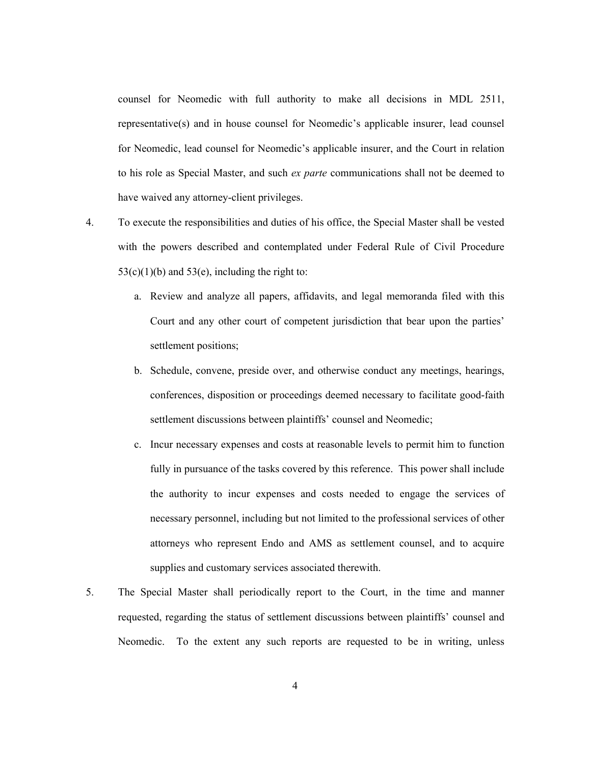counsel for Neomedic with full authority to make all decisions in MDL 2511, representative(s) and in house counsel for Neomedic's applicable insurer, lead counsel for Neomedic, lead counsel for Neomedic's applicable insurer, and the Court in relation to his role as Special Master, and such *ex parte* communications shall not be deemed to have waived any attorney-client privileges.

- 4. To execute the responsibilities and duties of his office, the Special Master shall be vested with the powers described and contemplated under Federal Rule of Civil Procedure  $53(c)(1)(b)$  and  $53(e)$ , including the right to:
	- a. Review and analyze all papers, affidavits, and legal memoranda filed with this Court and any other court of competent jurisdiction that bear upon the parties' settlement positions;
	- b. Schedule, convene, preside over, and otherwise conduct any meetings, hearings, conferences, disposition or proceedings deemed necessary to facilitate good-faith settlement discussions between plaintiffs' counsel and Neomedic;
	- c. Incur necessary expenses and costs at reasonable levels to permit him to function fully in pursuance of the tasks covered by this reference. This power shall include the authority to incur expenses and costs needed to engage the services of necessary personnel, including but not limited to the professional services of other attorneys who represent Endo and AMS as settlement counsel, and to acquire supplies and customary services associated therewith.
- 5. The Special Master shall periodically report to the Court, in the time and manner requested, regarding the status of settlement discussions between plaintiffs' counsel and Neomedic. To the extent any such reports are requested to be in writing, unless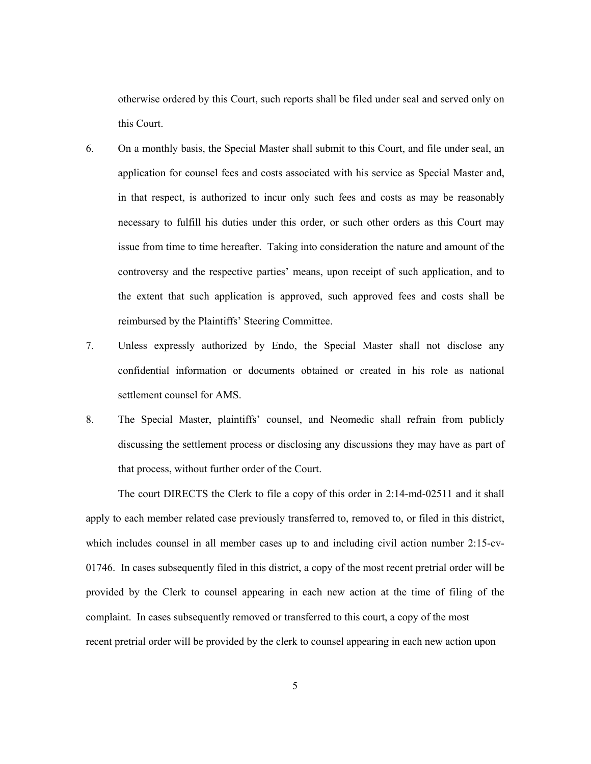otherwise ordered by this Court, such reports shall be filed under seal and served only on this Court.

- 6. On a monthly basis, the Special Master shall submit to this Court, and file under seal, an application for counsel fees and costs associated with his service as Special Master and, in that respect, is authorized to incur only such fees and costs as may be reasonably necessary to fulfill his duties under this order, or such other orders as this Court may issue from time to time hereafter. Taking into consideration the nature and amount of the controversy and the respective parties' means, upon receipt of such application, and to the extent that such application is approved, such approved fees and costs shall be reimbursed by the Plaintiffs' Steering Committee.
- 7. Unless expressly authorized by Endo, the Special Master shall not disclose any confidential information or documents obtained or created in his role as national settlement counsel for AMS.
- 8. The Special Master, plaintiffs' counsel, and Neomedic shall refrain from publicly discussing the settlement process or disclosing any discussions they may have as part of that process, without further order of the Court.

The court DIRECTS the Clerk to file a copy of this order in 2:14-md-02511 and it shall apply to each member related case previously transferred to, removed to, or filed in this district, which includes counsel in all member cases up to and including civil action number 2:15-cv-01746. In cases subsequently filed in this district, a copy of the most recent pretrial order will be provided by the Clerk to counsel appearing in each new action at the time of filing of the complaint. In cases subsequently removed or transferred to this court, a copy of the most recent pretrial order will be provided by the clerk to counsel appearing in each new action upon